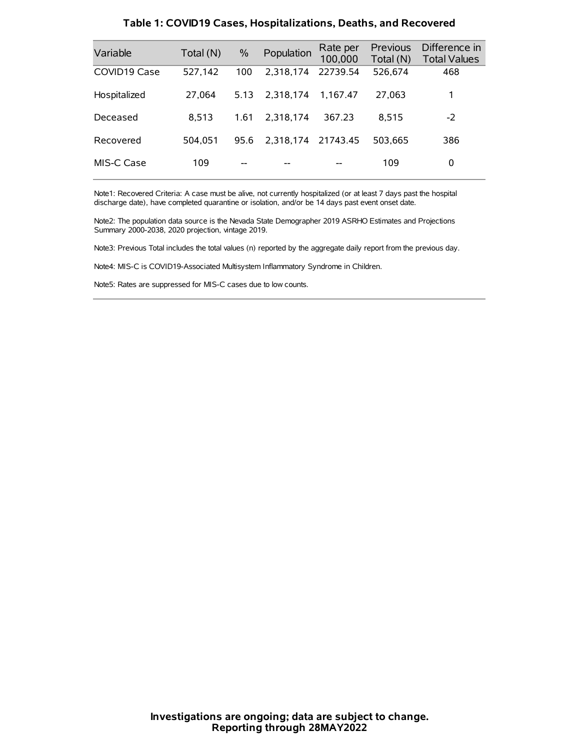| Variable     | Total (N) | $\%$ | Population         | Rate per<br>100,000 | Previous<br>Total (N) | Difference in<br><b>Total Values</b> |
|--------------|-----------|------|--------------------|---------------------|-----------------------|--------------------------------------|
| COVID19 Case | 527,142   | 100  | 2.318.174          | 22739.54            | 526,674               | 468                                  |
| Hospitalized | 27.064    | 5.13 | 2.318.174          | 1.167.47            | 27,063                | 1                                    |
| Deceased     | 8.513     | 1.61 | 2.318.174          | 367.23              | 8.515                 | $-2$                                 |
| Recovered    | 504.051   | 95.6 | 2,318,174 21743.45 |                     | 503.665               | 386                                  |
| MIS-C Case   | 109       | --   |                    |                     | 109                   | 0                                    |

#### **Table 1: COVID19 Cases, Hospitalizations, Deaths, and Recovered**

Note1: Recovered Criteria: A case must be alive, not currently hospitalized (or at least 7 days past the hospital discharge date), have completed quarantine or isolation, and/or be 14 days past event onset date.

Note2: The population data source is the Nevada State Demographer 2019 ASRHO Estimates and Projections Summary 2000-2038, 2020 projection, vintage 2019.

Note3: Previous Total includes the total values (n) reported by the aggregate daily report from the previous day.

Note4: MIS-C is COVID19-Associated Multisystem Inflammatory Syndrome in Children.

Note5: Rates are suppressed for MIS-C cases due to low counts.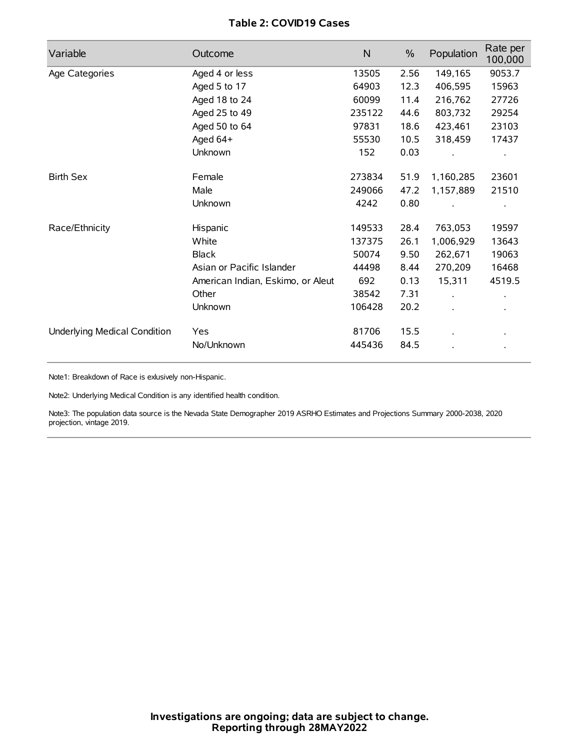# **Table 2: COVID19 Cases**

| Variable                     | Outcome                           | $\mathsf{N}$ | $\%$ | Population | Rate per<br>100,000 |
|------------------------------|-----------------------------------|--------------|------|------------|---------------------|
| Age Categories               | Aged 4 or less                    | 13505        | 2.56 | 149,165    | 9053.7              |
|                              | Aged 5 to 17                      | 64903        | 12.3 | 406,595    | 15963               |
|                              | Aged 18 to 24                     | 60099        | 11.4 | 216,762    | 27726               |
|                              | Aged 25 to 49                     | 235122       | 44.6 | 803,732    | 29254               |
|                              | Aged 50 to 64                     | 97831        | 18.6 | 423,461    | 23103               |
|                              | Aged 64+                          | 55530        | 10.5 | 318,459    | 17437               |
|                              | Unknown                           | 152          | 0.03 |            |                     |
| <b>Birth Sex</b>             | Female                            | 273834       | 51.9 | 1,160,285  | 23601               |
|                              | Male                              | 249066       | 47.2 | 1,157,889  | 21510               |
|                              | Unknown                           | 4242         | 0.80 |            |                     |
| Race/Ethnicity               | Hispanic                          | 149533       | 28.4 | 763,053    | 19597               |
|                              | White                             | 137375       | 26.1 | 1,006,929  | 13643               |
|                              | <b>Black</b>                      | 50074        | 9.50 | 262,671    | 19063               |
|                              | Asian or Pacific Islander         | 44498        | 8.44 | 270,209    | 16468               |
|                              | American Indian, Eskimo, or Aleut | 692          | 0.13 | 15,311     | 4519.5              |
|                              | Other                             | 38542        | 7.31 |            |                     |
|                              | Unknown                           | 106428       | 20.2 |            |                     |
| Underlying Medical Condition | Yes                               | 81706        | 15.5 |            |                     |
|                              | No/Unknown                        | 445436       | 84.5 |            |                     |

Note1: Breakdown of Race is exlusively non-Hispanic.

Note2: Underlying Medical Condition is any identified health condition.

Note3: The population data source is the Nevada State Demographer 2019 ASRHO Estimates and Projections Summary 2000-2038, 2020 projection, vintage 2019.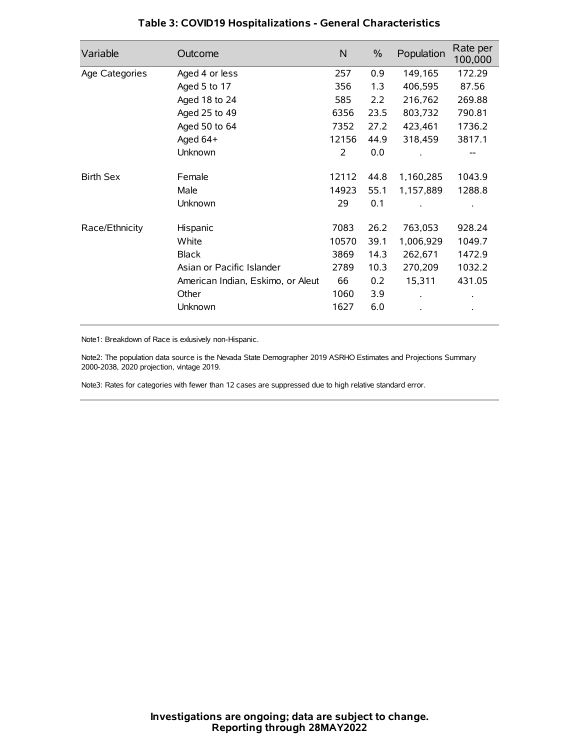| Variable         | Outcome                           | N     | $\%$ | Population | Rate per<br>100,000 |
|------------------|-----------------------------------|-------|------|------------|---------------------|
| Age Categories   | Aged 4 or less                    | 257   | 0.9  | 149,165    | 172.29              |
|                  | Aged 5 to 17                      | 356   | 1.3  | 406,595    | 87.56               |
|                  | Aged 18 to 24                     | 585   | 2.2  | 216,762    | 269.88              |
|                  | Aged 25 to 49                     | 6356  | 23.5 | 803,732    | 790.81              |
|                  | Aged 50 to 64                     | 7352  | 27.2 | 423,461    | 1736.2              |
|                  | Aged $64+$                        | 12156 | 44.9 | 318,459    | 3817.1              |
|                  | Unknown                           | 2     | 0.0  |            |                     |
| <b>Birth Sex</b> | Female                            | 12112 | 44.8 | 1,160,285  | 1043.9              |
|                  | Male                              | 14923 | 55.1 | 1,157,889  | 1288.8              |
|                  | Unknown                           | 29    | 0.1  |            |                     |
| Race/Ethnicity   | Hispanic                          | 7083  | 26.2 | 763,053    | 928.24              |
|                  | White                             | 10570 | 39.1 | 1,006,929  | 1049.7              |
|                  | <b>Black</b>                      | 3869  | 14.3 | 262,671    | 1472.9              |
|                  | Asian or Pacific Islander         | 2789  | 10.3 | 270,209    | 1032.2              |
|                  | American Indian, Eskimo, or Aleut | 66    | 0.2  | 15,311     | 431.05              |
|                  | Other                             | 1060  | 3.9  |            |                     |
|                  | Unknown                           | 1627  | 6.0  |            |                     |

## **Table 3: COVID19 Hospitalizations - General Characteristics**

Note1: Breakdown of Race is exlusively non-Hispanic.

Note2: The population data source is the Nevada State Demographer 2019 ASRHO Estimates and Projections Summary 2000-2038, 2020 projection, vintage 2019.

Note3: Rates for categories with fewer than 12 cases are suppressed due to high relative standard error.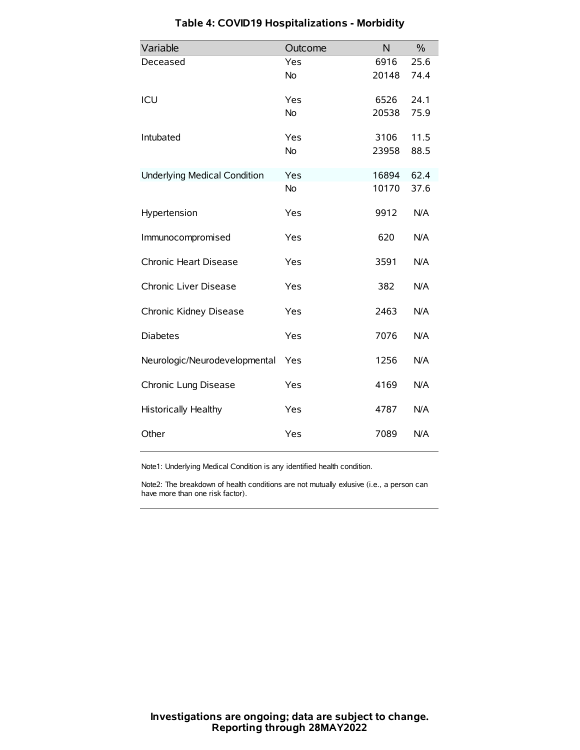| Variable                            | Outcome   | N     | $\frac{0}{0}$ |
|-------------------------------------|-----------|-------|---------------|
| Deceased                            | Yes       | 6916  | 25.6          |
|                                     | <b>No</b> | 20148 | 74.4          |
| ICU                                 | Yes       | 6526  | 24.1          |
|                                     | <b>No</b> | 20538 | 75.9          |
| Intubated                           | Yes       | 3106  | 11.5          |
|                                     | <b>No</b> | 23958 | 88.5          |
| <b>Underlying Medical Condition</b> | Yes       | 16894 | 62.4          |
|                                     | No        | 10170 | 37.6          |
| Hypertension                        | Yes       | 9912  | N/A           |
| Immunocompromised                   | Yes       | 620   | N/A           |
| Chronic Heart Disease               | Yes       | 3591  | N/A           |
| Chronic Liver Disease               | Yes       | 382   | N/A           |
| Chronic Kidney Disease              | Yes       | 2463  | N/A           |
| <b>Diabetes</b>                     | Yes       | 7076  | N/A           |
| Neurologic/Neurodevelopmental       | Yes       | 1256  | N/A           |
| Chronic Lung Disease                | Yes       | 4169  | N/A           |
| Historically Healthy                | Yes       | 4787  | N/A           |
| Other                               | Yes       | 7089  | N/A           |

# **Table 4: COVID19 Hospitalizations - Morbidity**

Note1: Underlying Medical Condition is any identified health condition.

Note2: The breakdown of health conditions are not mutually exlusive (i.e., a person can have more than one risk factor).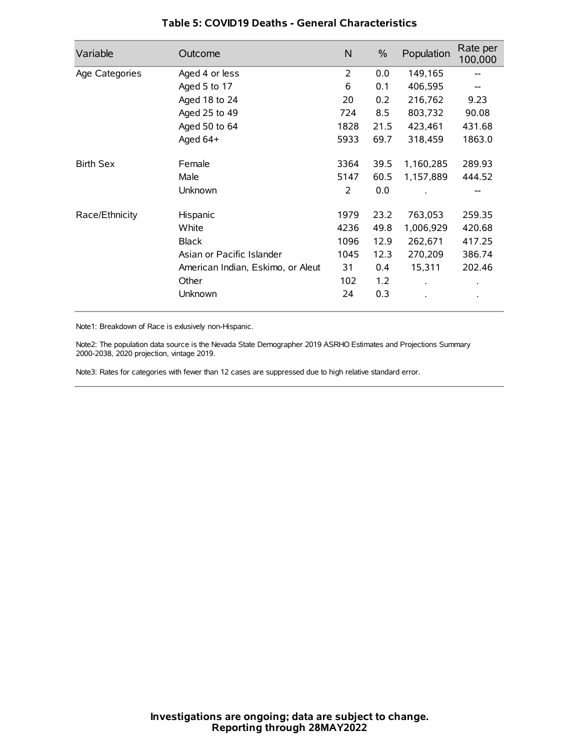| Variable         | Outcome                           | N    | $\frac{0}{0}$ | Population | Rate per<br>100,000 |
|------------------|-----------------------------------|------|---------------|------------|---------------------|
| Age Categories   | Aged 4 or less                    | 2    | 0.0           | 149,165    |                     |
|                  | Aged 5 to 17                      | 6    | 0.1           | 406,595    |                     |
|                  | Aged 18 to 24                     | 20   | 0.2           | 216,762    | 9.23                |
|                  | Aged 25 to 49                     | 724  | 8.5           | 803,732    | 90.08               |
|                  | Aged 50 to 64                     | 1828 | 21.5          | 423,461    | 431.68              |
|                  | Aged $64+$                        | 5933 | 69.7          | 318,459    | 1863.0              |
| <b>Birth Sex</b> | Female                            | 3364 | 39.5          | 1,160,285  | 289.93              |
|                  | Male                              | 5147 | 60.5          | 1,157,889  | 444.52              |
|                  | Unknown                           | 2    | 0.0           |            | --                  |
| Race/Ethnicity   | Hispanic                          | 1979 | 23.2          | 763,053    | 259.35              |
|                  | White                             | 4236 | 49.8          | 1,006,929  | 420.68              |
|                  | <b>Black</b>                      | 1096 | 12.9          | 262,671    | 417.25              |
|                  | Asian or Pacific Islander         | 1045 | 12.3          | 270,209    | 386.74              |
|                  | American Indian, Eskimo, or Aleut | 31   | 0.4           | 15,311     | 202.46              |
|                  | Other                             | 102  | 1.2           |            |                     |
|                  | Unknown                           | 24   | 0.3           |            |                     |

### **Table 5: COVID19 Deaths - General Characteristics**

Note1: Breakdown of Race is exlusively non-Hispanic.

Note2: The population data source is the Nevada State Demographer 2019 ASRHO Estimates and Projections Summary 2000-2038, 2020 projection, vintage 2019.

Note3: Rates for categories with fewer than 12 cases are suppressed due to high relative standard error.